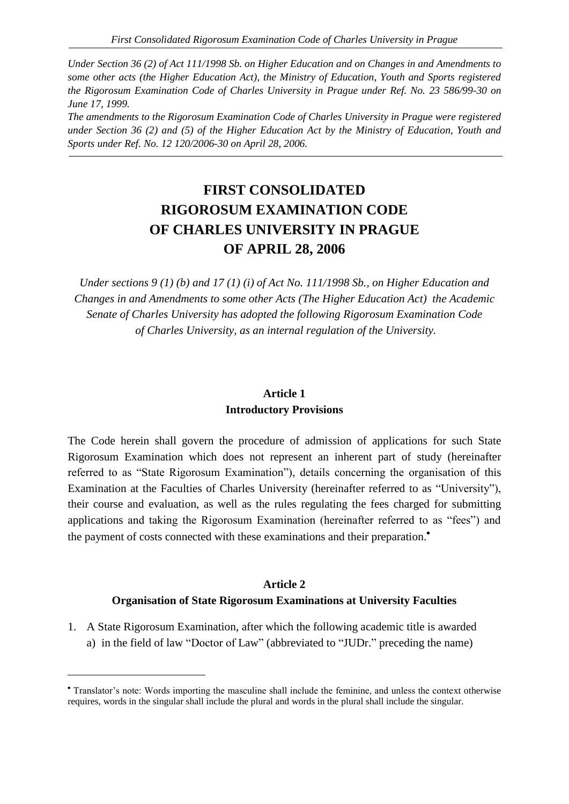*Under Section 36 (2) of Act 111/1998 Sb. on Higher Education and on Changes in and Amendments to some other acts (the Higher Education Act), the Ministry of Education, Youth and Sports registered the Rigorosum Examination Code of Charles University in Prague under Ref. No. 23 586/99-30 on June 17, 1999.*

*The amendments to the Rigorosum Examination Code of Charles University in Prague were registered under Section 36 (2) and (5) of the Higher Education Act by the Ministry of Education, Youth and Sports under Ref. No. 12 120/2006-30 on April 28, 2006.*

# **FIRST CONSOLIDATED RIGOROSUM EXAMINATION CODE OF CHARLES UNIVERSITY IN PRAGUE OF APRIL 28, 2006**

*Under sections 9 (1) (b) and 17 (1) (i) of Act No. 111/1998 Sb., on Higher Education and Changes in and Amendments to some other Acts (The Higher Education Act) the Academic Senate of Charles University has adopted the following Rigorosum Examination Code of Charles University, as an internal regulation of the University.*

### **Article 1 Introductory Provisions**

The Code herein shall govern the procedure of admission of applications for such State Rigorosum Examination which does not represent an inherent part of study (hereinafter referred to as "State Rigorosum Examination"), details concerning the organisation of this Examination at the Faculties of Charles University (hereinafter referred to as "University"), their course and evaluation, as well as the rules regulating the fees charged for submitting applications and taking the Rigorosum Examination (hereinafter referred to as "fees") and the payment of costs connected with these examinations and their preparation.

### **Article 2**

### **Organisation of State Rigorosum Examinations at University Faculties**

1. A State Rigorosum Examination, after which the following academic title is awarded a) in the field of law "Doctor of Law" (abbreviated to "JUDr." preceding the name)

 $\overline{a}$ 

Translator's note: Words importing the masculine shall include the feminine, and unless the context otherwise requires, words in the singular shall include the plural and words in the plural shall include the singular.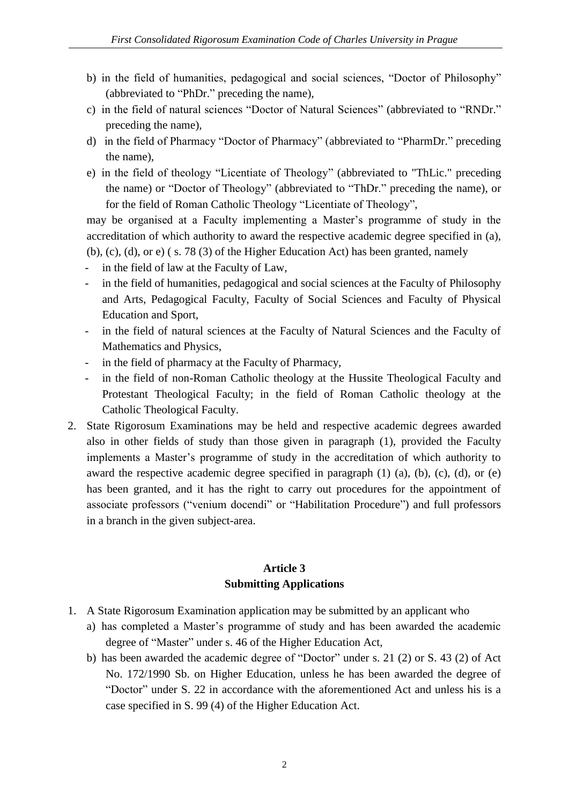- b) in the field of humanities, pedagogical and social sciences, "Doctor of Philosophy" (abbreviated to "PhDr." preceding the name),
- c) in the field of natural sciences "Doctor of Natural Sciences" (abbreviated to "RNDr." preceding the name),
- d) in the field of Pharmacy "Doctor of Pharmacy" (abbreviated to "PharmDr." preceding the name),
- e) in the field of theology "Licentiate of Theology" (abbreviated to "ThLic." preceding the name) or "Doctor of Theology" (abbreviated to "ThDr." preceding the name), or for the field of Roman Catholic Theology "Licentiate of Theology",

may be organised at a Faculty implementing a Master's programme of study in the accreditation of which authority to award the respective academic degree specified in (a), (b), (c), (d), or e) ( s. 78 (3) of the Higher Education Act) has been granted, namely

- in the field of law at the Faculty of Law,
- in the field of humanities, pedagogical and social sciences at the Faculty of Philosophy and Arts, Pedagogical Faculty, Faculty of Social Sciences and Faculty of Physical Education and Sport,
- in the field of natural sciences at the Faculty of Natural Sciences and the Faculty of Mathematics and Physics,
- in the field of pharmacy at the Faculty of Pharmacy,
- in the field of non-Roman Catholic theology at the Hussite Theological Faculty and Protestant Theological Faculty; in the field of Roman Catholic theology at the Catholic Theological Faculty.
- 2. State Rigorosum Examinations may be held and respective academic degrees awarded also in other fields of study than those given in paragraph (1), provided the Faculty implements a Master's programme of study in the accreditation of which authority to award the respective academic degree specified in paragraph  $(1)$   $(a)$ ,  $(b)$ ,  $(c)$ ,  $(d)$ , or  $(e)$ has been granted, and it has the right to carry out procedures for the appointment of associate professors ("venium docendi" or "Habilitation Procedure") and full professors in a branch in the given subject-area.

## **Article 3 Submitting Applications**

- 1. A State Rigorosum Examination application may be submitted by an applicant who
	- a) has completed a Master's programme of study and has been awarded the academic degree of "Master" under s. 46 of the Higher Education Act,
	- b) has been awarded the academic degree of "Doctor" under s. 21 (2) or S. 43 (2) of Act No. 172/1990 Sb. on Higher Education, unless he has been awarded the degree of "Doctor" under S. 22 in accordance with the aforementioned Act and unless his is a case specified in S. 99 (4) of the Higher Education Act.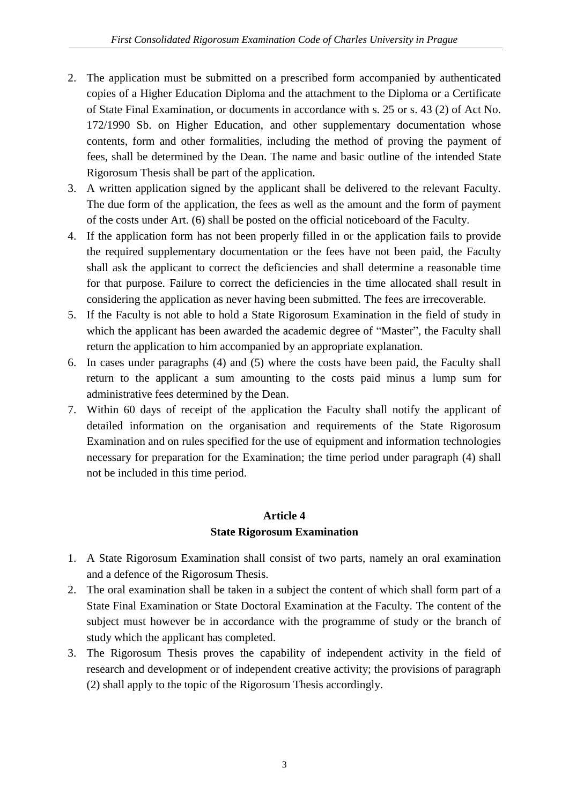- 2. The application must be submitted on a prescribed form accompanied by authenticated copies of a Higher Education Diploma and the attachment to the Diploma or a Certificate of State Final Examination, or documents in accordance with s. 25 or s. 43 (2) of Act No. 172/1990 Sb. on Higher Education, and other supplementary documentation whose contents, form and other formalities, including the method of proving the payment of fees, shall be determined by the Dean. The name and basic outline of the intended State Rigorosum Thesis shall be part of the application.
- 3. A written application signed by the applicant shall be delivered to the relevant Faculty. The due form of the application, the fees as well as the amount and the form of payment of the costs under Art. (6) shall be posted on the official noticeboard of the Faculty.
- 4. If the application form has not been properly filled in or the application fails to provide the required supplementary documentation or the fees have not been paid, the Faculty shall ask the applicant to correct the deficiencies and shall determine a reasonable time for that purpose. Failure to correct the deficiencies in the time allocated shall result in considering the application as never having been submitted. The fees are irrecoverable.
- 5. If the Faculty is not able to hold a State Rigorosum Examination in the field of study in which the applicant has been awarded the academic degree of "Master", the Faculty shall return the application to him accompanied by an appropriate explanation.
- 6. In cases under paragraphs (4) and (5) where the costs have been paid, the Faculty shall return to the applicant a sum amounting to the costs paid minus a lump sum for administrative fees determined by the Dean.
- 7. Within 60 days of receipt of the application the Faculty shall notify the applicant of detailed information on the organisation and requirements of the State Rigorosum Examination and on rules specified for the use of equipment and information technologies necessary for preparation for the Examination; the time period under paragraph (4) shall not be included in this time period.

### **Article 4 State Rigorosum Examination**

- 1. A State Rigorosum Examination shall consist of two parts, namely an oral examination and a defence of the Rigorosum Thesis.
- 2. The oral examination shall be taken in a subject the content of which shall form part of a State Final Examination or State Doctoral Examination at the Faculty. The content of the subject must however be in accordance with the programme of study or the branch of study which the applicant has completed.
- 3. The Rigorosum Thesis proves the capability of independent activity in the field of research and development or of independent creative activity; the provisions of paragraph (2) shall apply to the topic of the Rigorosum Thesis accordingly.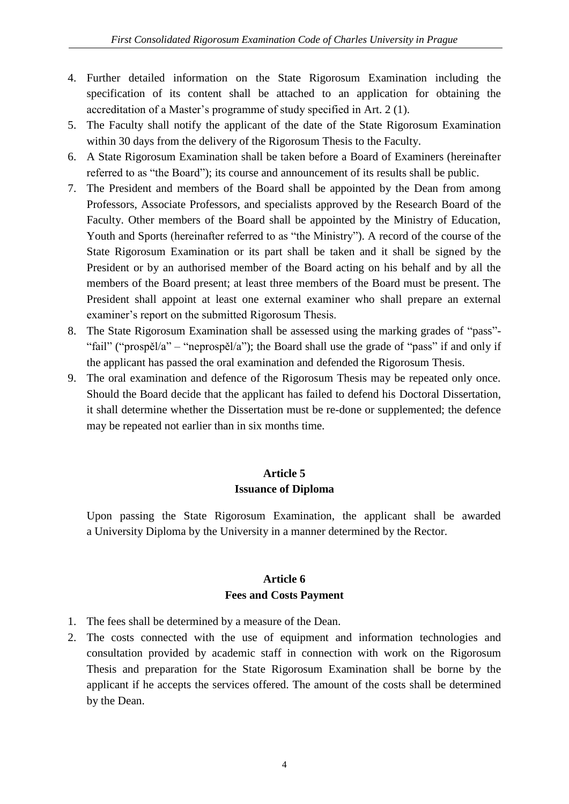- 4. Further detailed information on the State Rigorosum Examination including the specification of its content shall be attached to an application for obtaining the accreditation of a Master's programme of study specified in Art. 2 (1).
- 5. The Faculty shall notify the applicant of the date of the State Rigorosum Examination within 30 days from the delivery of the Rigorosum Thesis to the Faculty.
- 6. A State Rigorosum Examination shall be taken before a Board of Examiners (hereinafter referred to as "the Board"); its course and announcement of its results shall be public.
- 7. The President and members of the Board shall be appointed by the Dean from among Professors, Associate Professors, and specialists approved by the Research Board of the Faculty. Other members of the Board shall be appointed by the Ministry of Education, Youth and Sports (hereinafter referred to as "the Ministry"). A record of the course of the State Rigorosum Examination or its part shall be taken and it shall be signed by the President or by an authorised member of the Board acting on his behalf and by all the members of the Board present; at least three members of the Board must be present. The President shall appoint at least one external examiner who shall prepare an external examiner's report on the submitted Rigorosum Thesis.
- 8. The State Rigorosum Examination shall be assessed using the marking grades of "pass"- "fail" ("prospěl/a" – "neprospěl/a"); the Board shall use the grade of "pass" if and only if the applicant has passed the oral examination and defended the Rigorosum Thesis.
- 9. The oral examination and defence of the Rigorosum Thesis may be repeated only once. Should the Board decide that the applicant has failed to defend his Doctoral Dissertation, it shall determine whether the Dissertation must be re-done or supplemented; the defence may be repeated not earlier than in six months time.

# **Article 5 Issuance of Diploma**

Upon passing the State Rigorosum Examination, the applicant shall be awarded a University Diploma by the University in a manner determined by the Rector.

### **Article 6 Fees and Costs Payment**

- 1. The fees shall be determined by a measure of the Dean.
- 2. The costs connected with the use of equipment and information technologies and consultation provided by academic staff in connection with work on the Rigorosum Thesis and preparation for the State Rigorosum Examination shall be borne by the applicant if he accepts the services offered. The amount of the costs shall be determined by the Dean.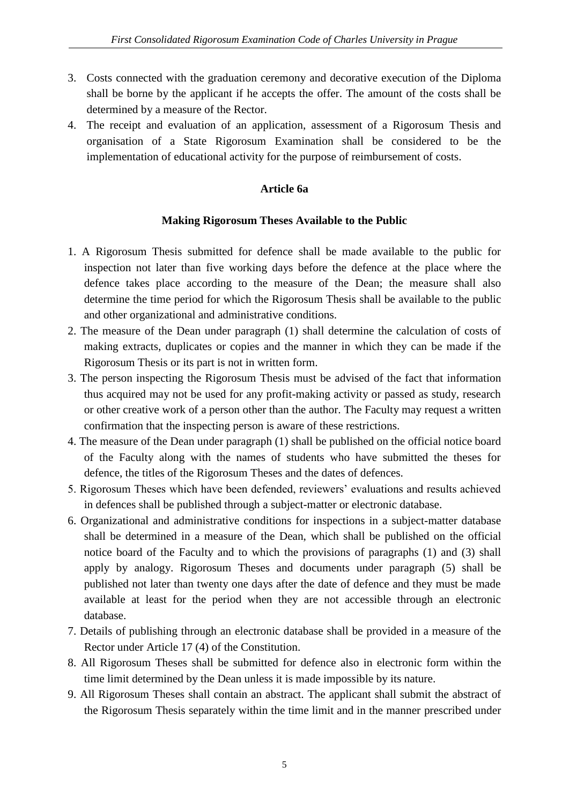- 3. Costs connected with the graduation ceremony and decorative execution of the Diploma shall be borne by the applicant if he accepts the offer. The amount of the costs shall be determined by a measure of the Rector.
- 4. The receipt and evaluation of an application, assessment of a Rigorosum Thesis and organisation of a State Rigorosum Examination shall be considered to be the implementation of educational activity for the purpose of reimbursement of costs.

### **Article 6a**

### **Making Rigorosum Theses Available to the Public**

- 1. A Rigorosum Thesis submitted for defence shall be made available to the public for inspection not later than five working days before the defence at the place where the defence takes place according to the measure of the Dean; the measure shall also determine the time period for which the Rigorosum Thesis shall be available to the public and other organizational and administrative conditions.
- 2. The measure of the Dean under paragraph (1) shall determine the calculation of costs of making extracts, duplicates or copies and the manner in which they can be made if the Rigorosum Thesis or its part is not in written form.
- 3. The person inspecting the Rigorosum Thesis must be advised of the fact that information thus acquired may not be used for any profit-making activity or passed as study, research or other creative work of a person other than the author. The Faculty may request a written confirmation that the inspecting person is aware of these restrictions.
- 4. The measure of the Dean under paragraph (1) shall be published on the official notice board of the Faculty along with the names of students who have submitted the theses for defence, the titles of the Rigorosum Theses and the dates of defences.
- 5. Rigorosum Theses which have been defended, reviewers' evaluations and results achieved in defences shall be published through a subject-matter or electronic database.
- 6. Organizational and administrative conditions for inspections in a subject-matter database shall be determined in a measure of the Dean, which shall be published on the official notice board of the Faculty and to which the provisions of paragraphs (1) and (3) shall apply by analogy. Rigorosum Theses and documents under paragraph (5) shall be published not later than twenty one days after the date of defence and they must be made available at least for the period when they are not accessible through an electronic database.
- 7. Details of publishing through an electronic database shall be provided in a measure of the Rector under Article 17 (4) of the Constitution.
- 8. All Rigorosum Theses shall be submitted for defence also in electronic form within the time limit determined by the Dean unless it is made impossible by its nature.
- 9. All Rigorosum Theses shall contain an abstract. The applicant shall submit the abstract of the Rigorosum Thesis separately within the time limit and in the manner prescribed under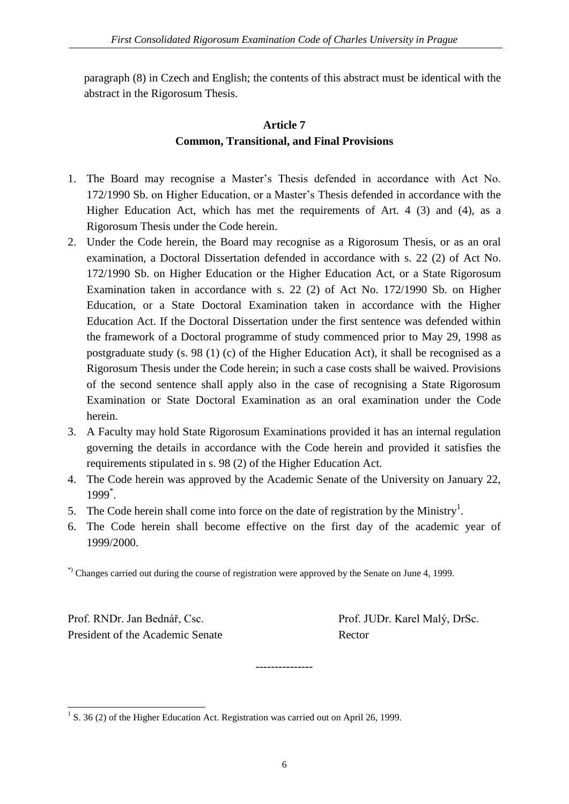paragraph (8) in Czech and English; the contents of this abstract must be identical with the abstract in the Rigorosum Thesis.

# **Article 7 Common, Transitional, and Final Provisions**

- 1. The Board may recognise a Master's Thesis defended in accordance with Act No. 172/1990 Sb. on Higher Education, or a Master's Thesis defended in accordance with the Higher Education Act, which has met the requirements of Art. 4 (3) and (4), as a Rigorosum Thesis under the Code herein.
- 2. Under the Code herein, the Board may recognise as a Rigorosum Thesis, or as an oral examination, a Doctoral Dissertation defended in accordance with s. 22 (2) of Act No. 172/1990 Sb. on Higher Education or the Higher Education Act, or a State Rigorosum Examination taken in accordance with s. 22 (2) of Act No. 172/1990 Sb. on Higher Education, or a State Doctoral Examination taken in accordance with the Higher Education Act. If the Doctoral Dissertation under the first sentence was defended within the framework of a Doctoral programme of study commenced prior to May 29, 1998 as postgraduate study (s. 98 (1) (c) of the Higher Education Act), it shall be recognised as a Rigorosum Thesis under the Code herein; in such a case costs shall be waived. Provisions of the second sentence shall apply also in the case of recognising a State Rigorosum Examination or State Doctoral Examination as an oral examination under the Code herein.
- 3. A Faculty may hold State Rigorosum Examinations provided it has an internal regulation governing the details in accordance with the Code herein and provided it satisfies the requirements stipulated in s. 98 (2) of the Higher Education Act.
- 4. The Code herein was approved by the Academic Senate of the University on January 22, 1999\* .
- 5. The Code herein shall come into force on the date of registration by the Ministry<sup>1</sup>.
- 6. The Code herein shall become effective on the first day of the academic year of 1999/2000.

\*) Changes carried out during the course of registration were approved by the Senate on June 4, 1999.

Prof. RNDr. Jan Bednář, Csc. Prof. JUDr. Karel Malý, DrSc. President of the Academic Senate Rector

<sup>1</sup> S. 36 (2) of the Higher Education Act. Registration was carried out on April 26, 1999.

---------------